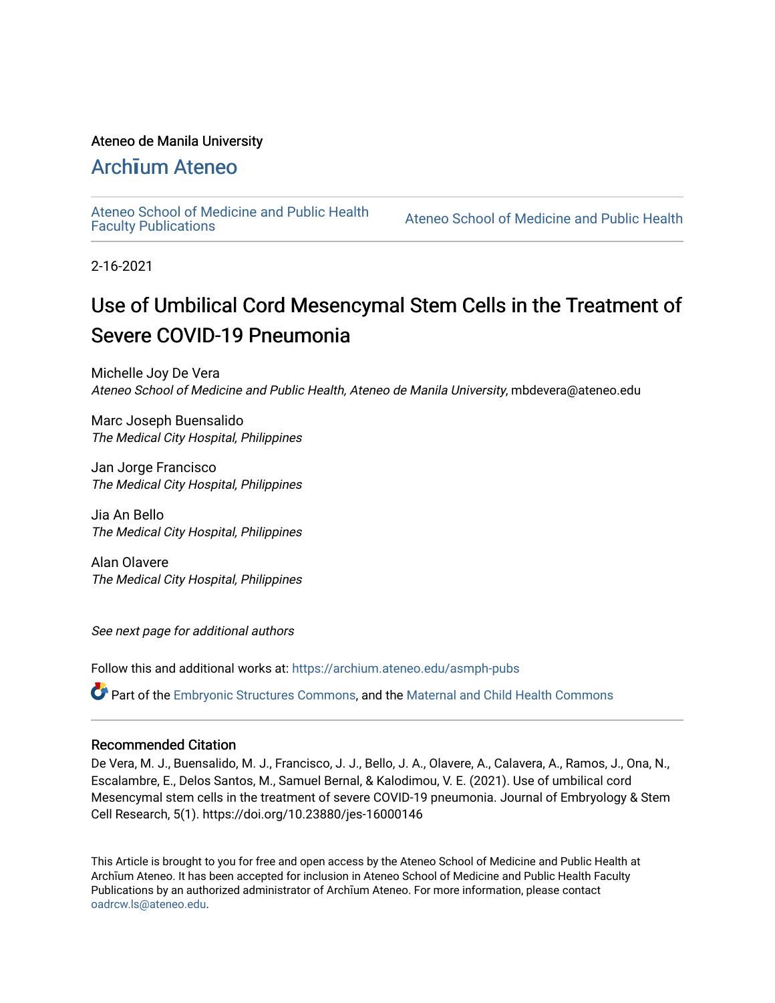#### Ateneo de Manila University

## Arch**ī**[um Ateneo](https://archium.ateneo.edu/)

[Ateneo School of Medicine and Public Health](https://archium.ateneo.edu/asmph-pubs) 

Ateneo School of Medicine and Public Health

2-16-2021

# Use of Umbilical Cord Mesencymal Stem Cells in the Treatment of Severe COVID-19 Pneumonia

Michelle Joy De Vera Ateneo School of Medicine and Public Health, Ateneo de Manila University, mbdevera@ateneo.edu

Marc Joseph Buensalido The Medical City Hospital, Philippines

Jan Jorge Francisco The Medical City Hospital, Philippines

Jia An Bello The Medical City Hospital, Philippines

Alan Olavere The Medical City Hospital, Philippines

See next page for additional authors

Follow this and additional works at: [https://archium.ateneo.edu/asmph-pubs](https://archium.ateneo.edu/asmph-pubs?utm_source=archium.ateneo.edu%2Fasmph-pubs%2F55&utm_medium=PDF&utm_campaign=PDFCoverPages) 

Part of the [Embryonic Structures Commons](https://network.bepress.com/hgg/discipline/941?utm_source=archium.ateneo.edu%2Fasmph-pubs%2F55&utm_medium=PDF&utm_campaign=PDFCoverPages), and the [Maternal and Child Health Commons](https://network.bepress.com/hgg/discipline/745?utm_source=archium.ateneo.edu%2Fasmph-pubs%2F55&utm_medium=PDF&utm_campaign=PDFCoverPages) 

#### Recommended Citation

De Vera, M. J., Buensalido, M. J., Francisco, J. J., Bello, J. A., Olavere, A., Calavera, A., Ramos, J., Ona, N., Escalambre, E., Delos Santos, M., Samuel Bernal, & Kalodimou, V. E. (2021). Use of umbilical cord Mesencymal stem cells in the treatment of severe COVID-19 pneumonia. Journal of Embryology & Stem Cell Research, 5(1). https://doi.org/10.23880/jes-16000146

This Article is brought to you for free and open access by the Ateneo School of Medicine and Public Health at Archīum Ateneo. It has been accepted for inclusion in Ateneo School of Medicine and Public Health Faculty Publications by an authorized administrator of Archīum Ateneo. For more information, please contact [oadrcw.ls@ateneo.edu.](mailto:oadrcw.ls@ateneo.edu)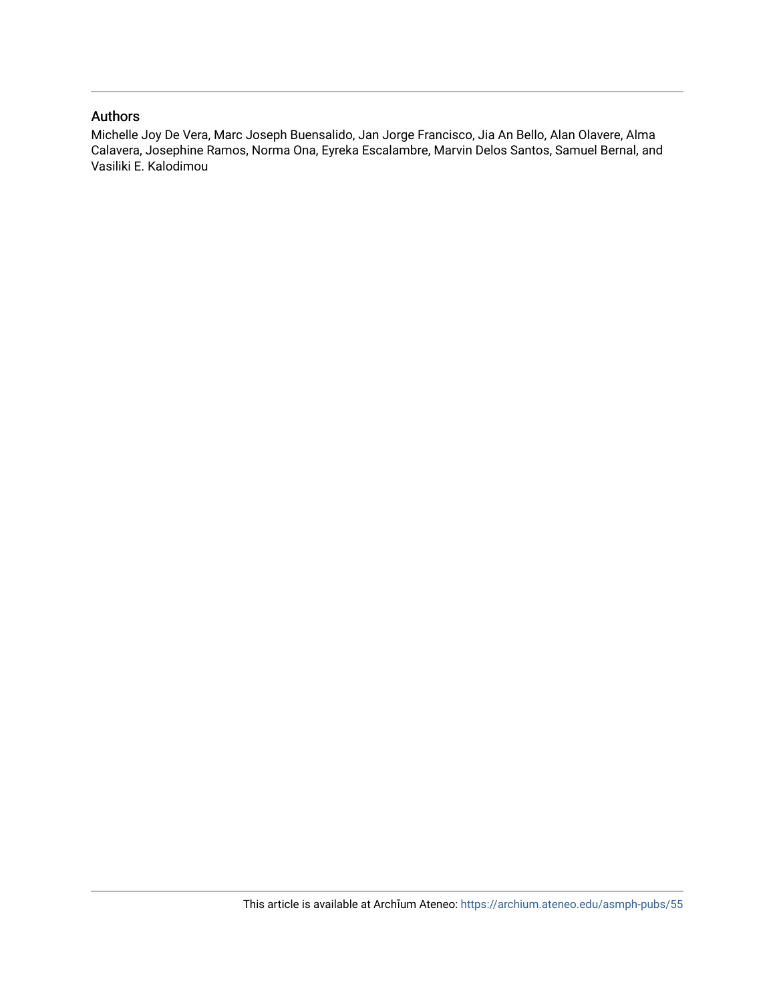#### Authors

Michelle Joy De Vera, Marc Joseph Buensalido, Jan Jorge Francisco, Jia An Bello, Alan Olavere, Alma Calavera, Josephine Ramos, Norma Ona, Eyreka Escalambre, Marvin Delos Santos, Samuel Bernal, and Vasiliki E. Kalodimou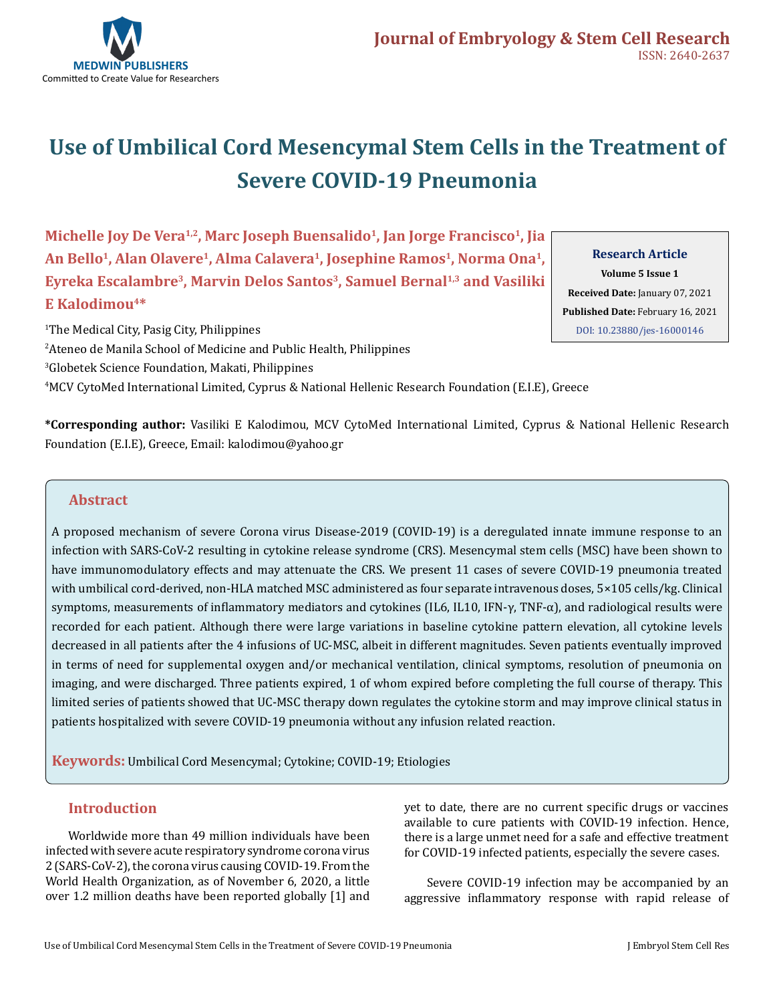

# **Use of Umbilical Cord Mesencymal Stem Cells in the Treatment of Severe COVID-19 Pneumonia**

Michelle Joy De Vera<sup>1,2</sup>, Marc Joseph Buensalido<sup>1</sup>, Jan Jorge Francisco<sup>1</sup>, Jia An Bello<sup>1</sup>, Alan Olavere<sup>1</sup>, Alma Calavera<sup>1</sup>, Josephine Ramos<sup>1</sup>, Norma Ona<sup>1</sup>, **Eyreka Escalambre3, Marvin Delos Santos3, Samuel Bernal1,3 and Vasiliki E Kalodimou4\*** 

**Research Article Volume 5 Issue 1 Received Date:** January 07, 2021 **Published Date:** February 16, 2021 [DOI: 10.23880/jes-16000146](https://doi.org/10.23880/jes-16000146)

 The Medical City, Pasig City, Philippines Ateneo de Manila School of Medicine and Public Health, Philippines Globetek Science Foundation, Makati, Philippines MCV CytoMed International Limited, Cyprus & National Hellenic Research Foundation (Ε.Ι.Ε), Greece

**\*Corresponding author:** Vasiliki E Kalodimou, MCV CytoMed International Limited, Cyprus & National Hellenic Research Foundation (Ε.Ι.Ε), Greece, Email: kalodimou@yahoo.gr

#### **Abstract**

A proposed mechanism of severe Corona virus Disease-2019 (COVID-19) is a deregulated innate immune response to an infection with SARS-CoV-2 resulting in cytokine release syndrome (CRS). Mesencymal stem cells (MSC) have been shown to have immunomodulatory effects and may attenuate the CRS. We present 11 cases of severe COVID-19 pneumonia treated with umbilical cord-derived, non-HLA matched MSC administered as four separate intravenous doses, 5×105 cells/kg. Clinical symptoms, measurements of inflammatory mediators and cytokines (IL6, IL10, IFN-γ, TNF-α), and radiological results were recorded for each patient. Although there were large variations in baseline cytokine pattern elevation, all cytokine levels decreased in all patients after the 4 infusions of UC-MSC, albeit in different magnitudes. Seven patients eventually improved in terms of need for supplemental oxygen and/or mechanical ventilation, clinical symptoms, resolution of pneumonia on imaging, and were discharged. Three patients expired, 1 of whom expired before completing the full course of therapy. This limited series of patients showed that UC-MSC therapy down regulates the cytokine storm and may improve clinical status in patients hospitalized with severe COVID-19 pneumonia without any infusion related reaction.

**Keywords:** Umbilical Cord Mesencymal; Cytokine; COVID-19; Etiologies

#### **Introduction**

Worldwide more than 49 million individuals have been infected with severe acute respiratory syndrome corona virus 2 (SARS-CoV-2), the corona virus causing COVID-19. From the World Health Organization, as of November 6, 2020, a little over 1.2 million deaths have been reported globally [1] and yet to date, there are no current specific drugs or vaccines available to cure patients with COVID-19 infection. Hence, there is a large unmet need for a safe and effective treatment for COVID-19 infected patients, especially the severe cases.

Severe COVID-19 infection may be accompanied by an aggressive inflammatory response with rapid release of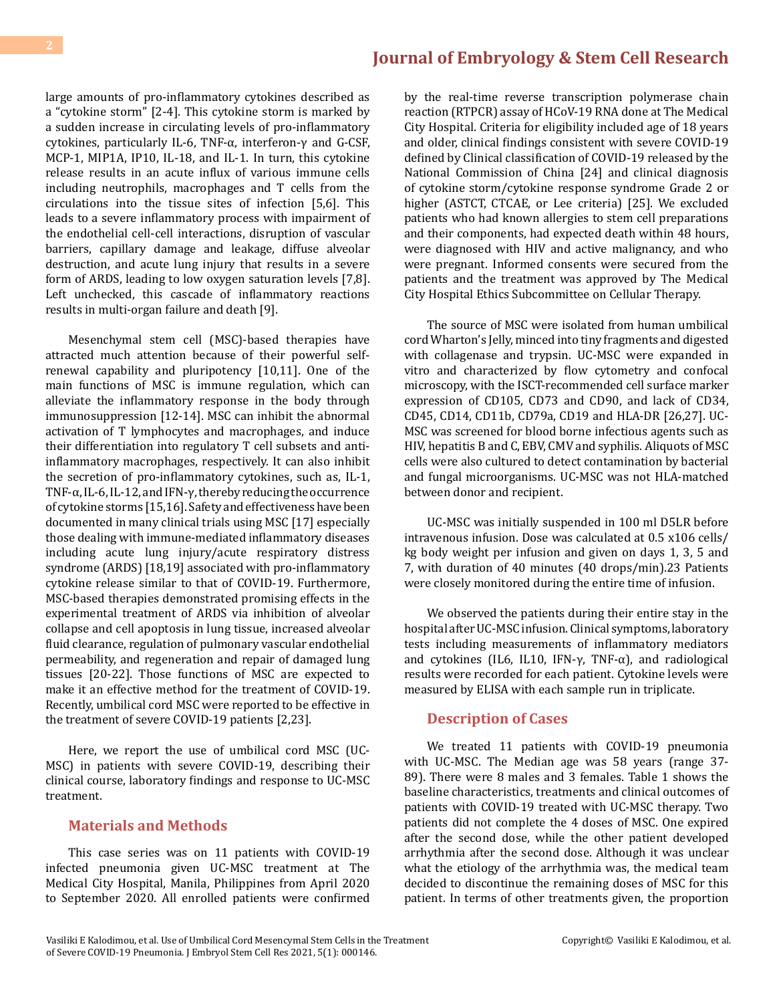large amounts of pro-inflammatory cytokines described as a "cytokine storm" [2-4]. This cytokine storm is marked by a sudden increase in circulating levels of pro-inflammatory cytokines, particularly IL-6, TNF-α, interferon-γ and G-CSF, MCP-1, MIP1A, IP10, IL-18, and IL-1. In turn, this cytokine release results in an acute influx of various immune cells including neutrophils, macrophages and T cells from the circulations into the tissue sites of infection [5,6]. This leads to a severe inflammatory process with impairment of the endothelial cell-cell interactions, disruption of vascular barriers, capillary damage and leakage, diffuse alveolar destruction, and acute lung injury that results in a severe form of ARDS, leading to low oxygen saturation levels [7,8]. Left unchecked, this cascade of inflammatory reactions results in multi-organ failure and death [9].

Mesenchymal stem cell (MSC)-based therapies have attracted much attention because of their powerful selfrenewal capability and pluripotency [10,11]. One of the main functions of MSC is immune regulation, which can alleviate the inflammatory response in the body through immunosuppression [12-14]. MSC can inhibit the abnormal activation of T lymphocytes and macrophages, and induce their differentiation into regulatory T cell subsets and antiinflammatory macrophages, respectively. It can also inhibit the secretion of pro-inflammatory cytokines, such as, IL-1, TNF-α, IL-6, IL-12, and IFN-γ, thereby reducing the occurrence of cytokine storms [15,16]. Safety and effectiveness have been documented in many clinical trials using MSC [17] especially those dealing with immune-mediated inflammatory diseases including acute lung injury/acute respiratory distress syndrome (ARDS) [18,19] associated with pro-inflammatory cytokine release similar to that of COVID-19. Furthermore, MSC-based therapies demonstrated promising effects in the experimental treatment of ARDS via inhibition of alveolar collapse and cell apoptosis in lung tissue, increased alveolar fluid clearance, regulation of pulmonary vascular endothelial permeability, and regeneration and repair of damaged lung tissues [20-22]. Those functions of MSC are expected to make it an effective method for the treatment of COVID-19. Recently, umbilical cord MSC were reported to be effective in the treatment of severe COVID-19 patients [2,23].

Here, we report the use of umbilical cord MSC (UC-MSC) in patients with severe COVID-19, describing their clinical course, laboratory findings and response to UC-MSC treatment.

#### **Materials and Methods**

This case series was on 11 patients with COVID-19 infected pneumonia given UC-MSC treatment at The Medical City Hospital, Manila, Philippines from April 2020 to September 2020. All enrolled patients were confirmed

by the real-time reverse transcription polymerase chain reaction (RTPCR) assay of HCoV-19 RNA done at The Medical City Hospital. Criteria for eligibility included age of 18 years and older, clinical findings consistent with severe COVID-19 defined by Clinical classification of COVID-19 released by the National Commission of China [24] and clinical diagnosis of cytokine storm/cytokine response syndrome Grade 2 or higher (ASTCT, CTCAE, or Lee criteria) [25]. We excluded patients who had known allergies to stem cell preparations and their components, had expected death within 48 hours, were diagnosed with HIV and active malignancy, and who were pregnant. Informed consents were secured from the patients and the treatment was approved by The Medical City Hospital Ethics Subcommittee on Cellular Therapy.

The source of MSC were isolated from human umbilical cord Wharton's Jelly, minced into tiny fragments and digested with collagenase and trypsin. UC-MSC were expanded in vitro and characterized by flow cytometry and confocal microscopy, with the ISCT-recommended cell surface marker expression of CD105, CD73 and CD90, and lack of CD34, CD45, CD14, CD11b, CD79a, CD19 and HLA-DR [26,27]. UC-MSC was screened for blood borne infectious agents such as HIV, hepatitis B and C, EBV, CMV and syphilis. Aliquots of MSC cells were also cultured to detect contamination by bacterial and fungal microorganisms. UC-MSC was not HLA-matched between donor and recipient.

UC-MSC was initially suspended in 100 ml D5LR before intravenous infusion. Dose was calculated at 0.5 x106 cells/ kg body weight per infusion and given on days 1, 3, 5 and 7, with duration of 40 minutes (40 drops/min).23 Patients were closely monitored during the entire time of infusion.

We observed the patients during their entire stay in the hospital after UC-MSC infusion. Clinical symptoms, laboratory tests including measurements of inflammatory mediators and cytokines (IL6, IL10, IFN- $\gamma$ , TNF- $\alpha$ ), and radiological results were recorded for each patient. Cytokine levels were measured by ELISA with each sample run in triplicate.

#### **Description of Cases**

We treated 11 patients with COVID-19 pneumonia with UC-MSC. The Median age was 58 years (range 37- 89). There were 8 males and 3 females. Table 1 shows the baseline characteristics, treatments and clinical outcomes of patients with COVID-19 treated with UC-MSC therapy. Two patients did not complete the 4 doses of MSC. One expired after the second dose, while the other patient developed arrhythmia after the second dose. Although it was unclear what the etiology of the arrhythmia was, the medical team decided to discontinue the remaining doses of MSC for this patient. In terms of other treatments given, the proportion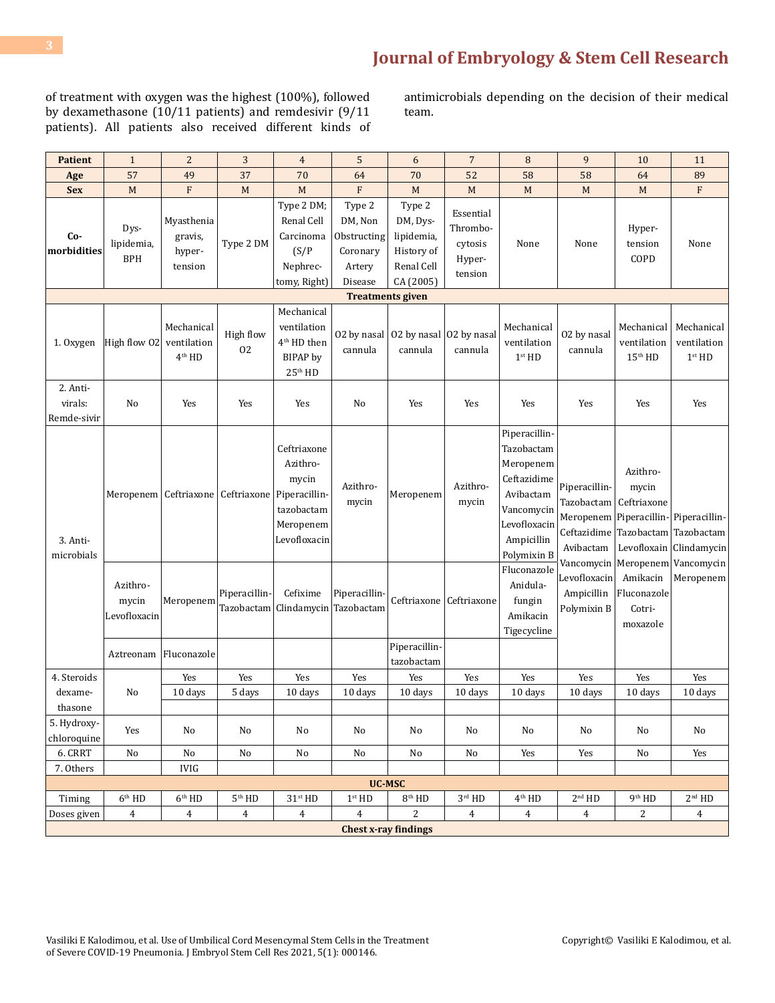of treatment with oxygen was the highest (100%), followed by dexamethasone (10/11 patients) and remdesivir (9/11 patients). All patients also received different kinds of antimicrobials depending on the decision of their medical team.

| <b>Patient</b>                     | $\mathbf{1}$                      | $\overline{c}$                             | 3                                     | $\overline{4}$                                                                               | 5                                                                 | 6                                                                         | $\overline{7}$                                        | 8                                                                                                                               | 9                                                                    | 10                                                                             | 11                                              |
|------------------------------------|-----------------------------------|--------------------------------------------|---------------------------------------|----------------------------------------------------------------------------------------------|-------------------------------------------------------------------|---------------------------------------------------------------------------|-------------------------------------------------------|---------------------------------------------------------------------------------------------------------------------------------|----------------------------------------------------------------------|--------------------------------------------------------------------------------|-------------------------------------------------|
| Age                                | 57                                | 49                                         | 37                                    | 70                                                                                           | 64                                                                | 70                                                                        | 52                                                    | 58                                                                                                                              | 58                                                                   | 64                                                                             | 89                                              |
| <b>Sex</b>                         | M                                 | F                                          | M                                     | M                                                                                            | F                                                                 | M                                                                         | M                                                     | M                                                                                                                               | M                                                                    | M                                                                              | F                                               |
| Co-<br>morbidities                 | Dys-<br>lipidemia,<br><b>BPH</b>  | Myasthenia<br>gravis,<br>hyper-<br>tension | Type 2 DM                             | Type 2 DM;<br>Renal Cell<br>Carcinoma<br>(S/P)<br>Nephrec-<br>tomy, Right)                   | Type 2<br>DM, Non<br>Obstructing<br>Coronary<br>Artery<br>Disease | Type 2<br>DM, Dys-<br>lipidemia,<br>History of<br>Renal Cell<br>CA (2005) | Essential<br>Thrombo-<br>cytosis<br>Hyper-<br>tension | None                                                                                                                            | None                                                                 | Hyper-<br>tension<br>COPD                                                      | None                                            |
| <b>Treatments given</b>            |                                   |                                            |                                       |                                                                                              |                                                                   |                                                                           |                                                       |                                                                                                                                 |                                                                      |                                                                                |                                                 |
| 1. Oxygen                          | High flow 02                      | Mechanical<br>ventilation<br>$4th$ HD      | High flow<br>02                       | Mechanical<br>ventilation<br>4 <sup>th</sup> HD then<br>BIPAP by<br>25 <sup>th</sup> HD      | cannula                                                           | 02 by nasal $\vert$ 02 by nasal<br>cannula                                | 02 by nasal<br>cannula                                | Mechanical<br>ventilation<br>1 <sup>st</sup> HD                                                                                 | 02 by nasal<br>cannula                                               | Mechanical<br>ventilation<br>$15th$ HD                                         | Mechanical<br>ventilation<br>1 <sup>st</sup> HD |
| 2. Anti-<br>virals:<br>Remde-sivir | No                                | Yes                                        | Yes                                   | Yes                                                                                          | No                                                                | Yes                                                                       | Yes                                                   | Yes                                                                                                                             | Yes                                                                  | Yes                                                                            | Yes                                             |
| 3. Anti-<br>microbials             |                                   |                                            | Meropenem   Ceftriaxone   Ceftriaxone | Ceftriaxone<br>Azithro-<br>mycin<br>Piperacillin-<br>tazobactam<br>Meropenem<br>Levofloxacin | Azithro-<br>mycin                                                 | Meropenem                                                                 | Azithro-<br>mycin                                     | Piperacillin-<br>Tazobactam<br>Meropenem<br>Ceftazidime<br>Avibactam<br>Vancomycin<br>Levofloxacin<br>Ampicillin<br>Polymixin B | Piperacillin-<br>Tazobactam<br>Meropenem<br>Ceftazidime<br>Avibactam | Azithro-<br>mycin<br>Ceftriaxone<br>Piperacillin-<br>Tazobactam<br>Levofloxain | Piperacillin-<br>Tazobactam<br>Clindamycin      |
|                                    | Azithro-<br>mycin<br>Levofloxacin | Meropenem                                  | Piperacillin-                         | Cefixime<br>Tazobactam   Clindamycin                                                         | Piperacillin-<br>Tazobactam                                       | Ceftriaxone                                                               | Ceftriaxone                                           | Fluconazole<br>Anidula-<br>fungin<br>Amikacin<br>Tigecycline                                                                    | Vancomycin<br>Levofloxacin<br>Ampicillin<br>Polymixin B              | Meropenem<br>Amikacin<br>Fluconazole<br>Cotri-<br>moxazole                     | Vancomycin<br>Meropenem                         |
|                                    | Aztreonam                         | Fluconazole                                |                                       |                                                                                              |                                                                   | Piperacillin-<br>tazobactam                                               |                                                       |                                                                                                                                 |                                                                      |                                                                                |                                                 |
| 4. Steroids                        |                                   | Yes                                        | Yes                                   | Yes                                                                                          | Yes                                                               | Yes                                                                       | Yes                                                   | Yes                                                                                                                             | Yes                                                                  | Yes                                                                            | Yes                                             |
| dexame-<br>thasone                 | No                                | 10 days                                    | 5 days                                | 10 days                                                                                      | 10 days                                                           | 10 days                                                                   | 10 days                                               | 10 days                                                                                                                         | 10 days                                                              | 10 days                                                                        | 10 days                                         |
| 5. Hydroxy-<br>chloroquine         | Yes                               | No                                         | No                                    | No                                                                                           | No                                                                | No                                                                        | No                                                    | No                                                                                                                              | No                                                                   | No                                                                             | No                                              |
| 6. CRRT                            | No                                | $\rm No$                                   | No                                    | No                                                                                           | No                                                                | No                                                                        | No                                                    | Yes                                                                                                                             | Yes                                                                  | No                                                                             | Yes                                             |
| 7. Others                          |                                   | IVIG                                       |                                       |                                                                                              |                                                                   |                                                                           |                                                       |                                                                                                                                 |                                                                      |                                                                                |                                                 |
| <b>UC-MSC</b>                      |                                   |                                            |                                       |                                                                                              |                                                                   |                                                                           |                                                       |                                                                                                                                 |                                                                      |                                                                                |                                                 |
| Timing                             | $6^{\rm th}$ HD                   | 6 <sup>th</sup> HD                         | $5^{\rm th}$ HD                       | $31^{\rm st}\,{\rm HD}$                                                                      | 1 <sup>st</sup> HD                                                | $8^{\rm th}$ HD                                                           | $3^{\rm rd}$ HD                                       | $4th$ HD                                                                                                                        | 2 <sup>nd</sup> HD                                                   | 9 <sup>th</sup> HD                                                             | 2 <sup>nd</sup> HD                              |
| Doses given                        | $\overline{4}$                    | $\overline{4}$                             | $\overline{4}$                        | $\boldsymbol{4}$                                                                             | $\overline{4}$                                                    | $\overline{2}$<br><b>Chest x-ray findings</b>                             | $\overline{4}$                                        | $\overline{4}$                                                                                                                  | $\overline{4}$                                                       | 2                                                                              | $\overline{4}$                                  |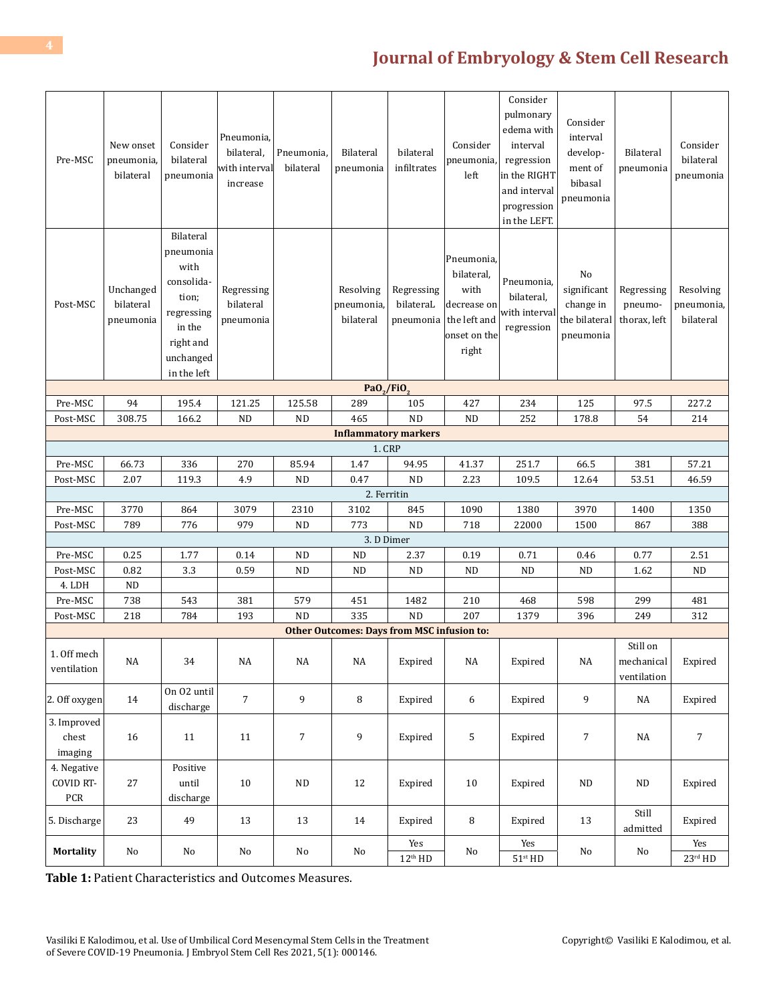| Pre-MSC                                  | New onset<br>pneumonia,<br>bilateral | Consider<br>bilateral<br>pneumonia                                                                                     | Pneumonia,<br>bilateral,<br>with interval<br>increase | Pneumonia.<br>bilateral | <b>Bilateral</b><br>pneumonia                     | bilateral<br>infiltrates             | Consider<br>pneumonia,<br>left                                                           | Consider<br>pulmonary<br>edema with<br>interval<br>regression<br>in the RIGHT<br>and interval<br>progression<br>in the LEFT. | Consider<br>interval<br>develop-<br>ment of<br>bibasal<br>pneumonia | <b>Bilateral</b><br>pneumonia         | Consider<br>bilateral<br>pneumonia   |
|------------------------------------------|--------------------------------------|------------------------------------------------------------------------------------------------------------------------|-------------------------------------------------------|-------------------------|---------------------------------------------------|--------------------------------------|------------------------------------------------------------------------------------------|------------------------------------------------------------------------------------------------------------------------------|---------------------------------------------------------------------|---------------------------------------|--------------------------------------|
| Post-MSC                                 | Unchanged<br>bilateral<br>pneumonia  | Bilateral<br>pneumonia<br>with<br>consolida-<br>tion;<br>regressing<br>in the<br>right and<br>unchanged<br>in the left | Regressing<br>bilateral<br>pneumonia                  |                         | Resolving<br>pneumonia,<br>bilateral              | Regressing<br>bilateraL<br>pneumonia | Pneumonia,<br>bilateral,<br>with<br>decrease on<br>the left and<br>onset on the<br>right | Pneumonia,<br>bilateral,<br>with interval<br>regression                                                                      | No<br>significant<br>change in<br>the bilateral<br>pneumonia        | Regressing<br>pneumo-<br>thorax, left | Resolving<br>pneumonia,<br>bilateral |
| Pa $0$ <sub>2</sub> /Fi $0$ <sub>3</sub> |                                      |                                                                                                                        |                                                       |                         |                                                   |                                      |                                                                                          |                                                                                                                              |                                                                     |                                       |                                      |
| Pre-MSC                                  | 94                                   | 195.4                                                                                                                  | 121.25                                                | 125.58                  | 289                                               | 105                                  | 427                                                                                      | 234                                                                                                                          | 125                                                                 | 97.5                                  | 227.2                                |
| Post-MSC                                 | 308.75                               | 166.2                                                                                                                  | ND                                                    | ND                      | 465                                               | <b>ND</b>                            | <b>ND</b>                                                                                | 252                                                                                                                          | 178.8                                                               | 54                                    | 214                                  |
| <b>Inflammatory markers</b>              |                                      |                                                                                                                        |                                                       |                         |                                                   |                                      |                                                                                          |                                                                                                                              |                                                                     |                                       |                                      |
|                                          |                                      |                                                                                                                        |                                                       |                         | 1. CRP                                            |                                      |                                                                                          |                                                                                                                              |                                                                     |                                       |                                      |
| Pre-MSC                                  | 66.73                                | 336                                                                                                                    | 270                                                   | 85.94                   | 1.47                                              | 94.95                                | 41.37                                                                                    | 251.7                                                                                                                        | 66.5                                                                | 381                                   | 57.21                                |
| Post-MSC                                 | 2.07                                 | 119.3                                                                                                                  | 4.9                                                   | ND                      | 0.47                                              | <b>ND</b>                            | 2.23                                                                                     | 109.5                                                                                                                        | 12.64                                                               | 53.51                                 | 46.59                                |
|                                          |                                      |                                                                                                                        |                                                       |                         | 2. Ferritin                                       |                                      |                                                                                          |                                                                                                                              |                                                                     |                                       |                                      |
| Pre-MSC                                  | 3770                                 | 864                                                                                                                    | 3079                                                  | 2310                    | 3102                                              | 845                                  | 1090                                                                                     | 1380                                                                                                                         | 3970                                                                | 1400                                  | 1350                                 |
| Post-MSC                                 | 789                                  | 776                                                                                                                    | 979                                                   | ND                      | 773                                               | <b>ND</b>                            | 718                                                                                      | 22000                                                                                                                        | 1500                                                                | 867                                   | 388                                  |
|                                          |                                      |                                                                                                                        |                                                       |                         | 3. D Dimer                                        |                                      |                                                                                          |                                                                                                                              |                                                                     |                                       |                                      |
| Pre-MSC                                  | 0.25                                 | 1.77                                                                                                                   | 0.14                                                  | ND                      | ND                                                | 2.37                                 | 0.19                                                                                     | 0.71                                                                                                                         | 0.46                                                                | 0.77                                  | 2.51                                 |
| Post-MSC                                 | 0.82                                 | 3.3                                                                                                                    | 0.59                                                  | <b>ND</b>               | <b>ND</b>                                         | <b>ND</b>                            | <b>ND</b>                                                                                | <b>ND</b>                                                                                                                    | ND                                                                  | 1.62                                  | <b>ND</b>                            |
| 4. LDH                                   | $\rm ND$                             |                                                                                                                        |                                                       |                         |                                                   |                                      |                                                                                          |                                                                                                                              |                                                                     |                                       |                                      |
| Pre-MSC                                  | 738                                  | 543                                                                                                                    | 381                                                   | 579                     | 451                                               | 1482                                 | 210                                                                                      | 468                                                                                                                          | 598                                                                 | 299                                   | 481                                  |
| Post-MSC                                 | 218                                  | 784                                                                                                                    | 193                                                   | <b>ND</b>               | 335                                               | <b>ND</b>                            | 207                                                                                      | 1379                                                                                                                         | 396                                                                 | 249                                   | 312                                  |
|                                          |                                      |                                                                                                                        |                                                       |                         | <b>Other Outcomes: Days from MSC infusion to:</b> |                                      |                                                                                          |                                                                                                                              |                                                                     |                                       |                                      |
| 1. Off mech<br>ventilation               | NA                                   | 34                                                                                                                     | $\rm NA$                                              | $_{\rm NA}$             | $_{\rm NA}$                                       | Expired                              | $\rm NA$                                                                                 | Expired                                                                                                                      | $\rm NA$                                                            | Still on<br>mechanical<br>ventilation | Expired                              |
| 2. Off oxygen                            | 14                                   | On 02 until<br>discharge                                                                                               | $\sqrt{ }$                                            | 9                       | 8                                                 | Expired                              | 6                                                                                        | Expired                                                                                                                      | 9                                                                   | NA                                    | Expired                              |
| 3. Improved<br>chest<br>imaging          | 16                                   | 11                                                                                                                     | 11                                                    | $\overline{7}$          | 9                                                 | Expired                              | 5                                                                                        | Expired                                                                                                                      | $\boldsymbol{7}$                                                    | NA                                    | $\overline{7}$                       |
| 4. Negative<br><b>COVID RT-</b><br>PCR   | 27                                   | Positive<br>until<br>discharge                                                                                         | 10                                                    | $\rm ND$                | 12                                                | Expired                              | 10                                                                                       | Expired                                                                                                                      | $\rm ND$                                                            | ND                                    | Expired                              |
| 5. Discharge                             | 23                                   | 49                                                                                                                     | 13                                                    | 13                      | 14                                                | Expired                              | 8                                                                                        | Expired                                                                                                                      | 13                                                                  | Still<br>admitted                     | Expired                              |
| Mortality                                | No                                   | No                                                                                                                     | $\rm No$                                              | No                      | $\rm No$                                          | Yes<br>$12^{th}$ HD                  | No                                                                                       | Yes<br>$51^{\rm st}\,{\rm HD}$                                                                                               | $\rm No$                                                            | No                                    | Yes<br>$23^{\rm rd}$ HD              |

**Table 1:** Patient Characteristics and Outcomes Measures.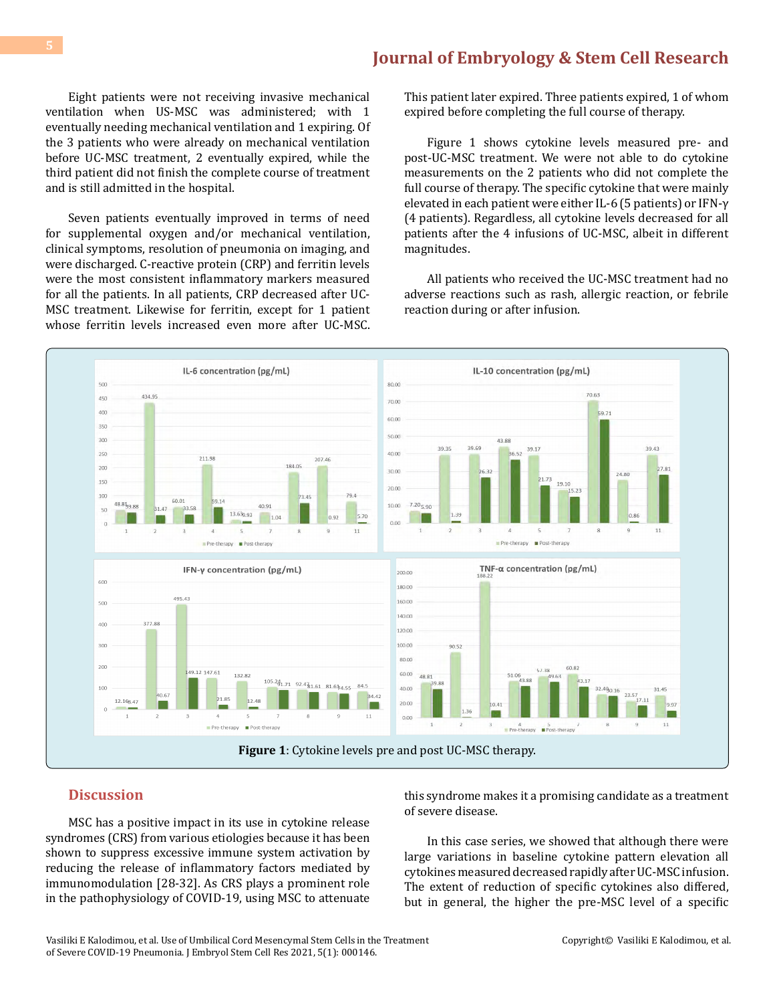Eight patients were not receiving invasive mechanical ventilation when US-MSC was administered; with 1 eventually needing mechanical ventilation and 1 expiring. Of the 3 patients who were already on mechanical ventilation before UC-MSC treatment, 2 eventually expired, while the third patient did not finish the complete course of treatment and is still admitted in the hospital.

Seven patients eventually improved in terms of need for supplemental oxygen and/or mechanical ventilation, clinical symptoms, resolution of pneumonia on imaging, and were discharged. C-reactive protein (CRP) and ferritin levels were the most consistent inflammatory markers measured for all the patients. In all patients, CRP decreased after UC-MSC treatment. Likewise for ferritin, except for 1 patient whose ferritin levels increased even more after UC-MSC.

This patient later expired. Three patients expired, 1 of whom expired before completing the full course of therapy.

Figure 1 shows cytokine levels measured pre- and post-UC-MSC treatment. We were not able to do cytokine measurements on the 2 patients who did not complete the full course of therapy. The specific cytokine that were mainly elevated in each patient were either IL-6 (5 patients) or IFN-γ (4 patients). Regardless, all cytokine levels decreased for all patients after the 4 infusions of UC-MSC, albeit in different magnitudes.

All patients who received the UC-MSC treatment had no adverse reactions such as rash, allergic reaction, or febrile reaction during or after infusion.



#### **Discussion**

MSC has a positive impact in its use in cytokine release syndromes (CRS) from various etiologies because it has been shown to suppress excessive immune system activation by reducing the release of inflammatory factors mediated by immunomodulation [28-32]. As CRS plays a prominent role in the pathophysiology of COVID-19, using MSC to attenuate

this syndrome makes it a promising candidate as a treatment of severe disease.

In this case series, we showed that although there were large variations in baseline cytokine pattern elevation all cytokines measured decreased rapidly after UC-MSC infusion. The extent of reduction of specific cytokines also differed, but in general, the higher the pre-MSC level of a specific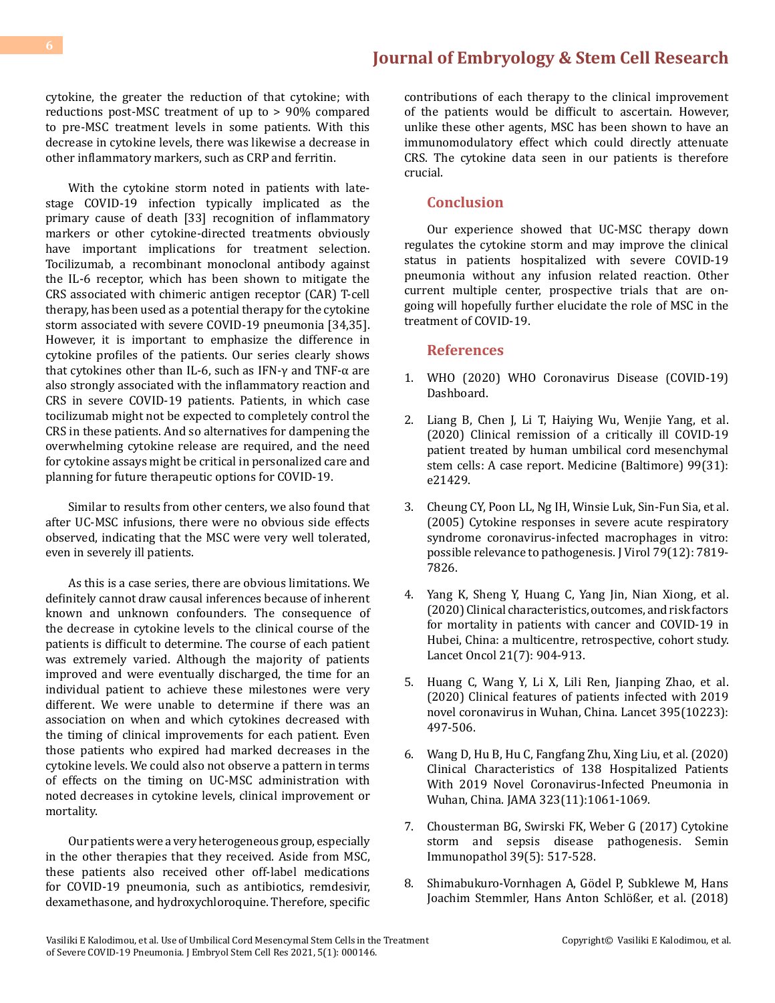cytokine, the greater the reduction of that cytokine; with reductions post-MSC treatment of up to > 90% compared to pre-MSC treatment levels in some patients. With this decrease in cytokine levels, there was likewise a decrease in other inflammatory markers, such as CRP and ferritin.

With the cytokine storm noted in patients with latestage COVID-19 infection typically implicated as the primary cause of death [33] recognition of inflammatory markers or other cytokine-directed treatments obviously have important implications for treatment selection. Tocilizumab, a recombinant monoclonal antibody against the IL-6 receptor, which has been shown to mitigate the CRS associated with chimeric antigen receptor (CAR) T-cell therapy, has been used as a potential therapy for the cytokine storm associated with severe COVID-19 pneumonia [34,35]. However, it is important to emphasize the difference in cytokine profiles of the patients. Our series clearly shows that cytokines other than IL-6, such as IFN-γ and TNF-α are also strongly associated with the inflammatory reaction and CRS in severe COVID-19 patients. Patients, in which case tocilizumab might not be expected to completely control the CRS in these patients. And so alternatives for dampening the overwhelming cytokine release are required, and the need for cytokine assays might be critical in personalized care and planning for future therapeutic options for COVID-19.

Similar to results from other centers, we also found that after UC-MSC infusions, there were no obvious side effects observed, indicating that the MSC were very well tolerated, even in severely ill patients.

As this is a case series, there are obvious limitations. We definitely cannot draw causal inferences because of inherent known and unknown confounders. The consequence of the decrease in cytokine levels to the clinical course of the patients is difficult to determine. The course of each patient was extremely varied. Although the majority of patients improved and were eventually discharged, the time for an individual patient to achieve these milestones were very different. We were unable to determine if there was an association on when and which cytokines decreased with the timing of clinical improvements for each patient. Even those patients who expired had marked decreases in the cytokine levels. We could also not observe a pattern in terms of effects on the timing on UC-MSC administration with noted decreases in cytokine levels, clinical improvement or mortality.

Our patients were a very heterogeneous group, especially in the other therapies that they received. Aside from MSC, these patients also received other off-label medications for COVID-19 pneumonia, such as antibiotics, remdesivir, dexamethasone, and hydroxychloroquine. Therefore, specific

contributions of each therapy to the clinical improvement of the patients would be difficult to ascertain. However, unlike these other agents, MSC has been shown to have an immunomodulatory effect which could directly attenuate CRS. The cytokine data seen in our patients is therefore crucial.

#### **Conclusion**

Our experience showed that UC-MSC therapy down regulates the cytokine storm and may improve the clinical status in patients hospitalized with severe COVID-19 pneumonia without any infusion related reaction. Other current multiple center, prospective trials that are ongoing will hopefully further elucidate the role of MSC in the treatment of COVID-19.

#### **References**

- 1. [WHO \(2020\) WHO Coronavirus Disease \(COVID-19\)](https://covid19.who.int/) [Dashboard.](https://covid19.who.int/)
- 2. [Liang B, Chen J, Li T, Haiying Wu, Wenjie Yang, et al.](https://pubmed.ncbi.nlm.nih.gov/32756149/)  [\(2020\) Clinical remission of a critically ill COVID-19](https://pubmed.ncbi.nlm.nih.gov/32756149/) [patient treated by human umbilical cord mesenchymal](https://pubmed.ncbi.nlm.nih.gov/32756149/)  [stem cells: A case report. Medicine \(Baltimore\) 99\(31\):](https://pubmed.ncbi.nlm.nih.gov/32756149/) [e21429.](https://pubmed.ncbi.nlm.nih.gov/32756149/)
- 3. [Cheung CY, Poon LL, Ng IH, Winsie Luk, Sin-Fun Sia, et al.](https://pubmed.ncbi.nlm.nih.gov/15919935/)  [\(2005\) Cytokine responses in severe acute respiratory](https://pubmed.ncbi.nlm.nih.gov/15919935/) [syndrome coronavirus-infected macrophages in vitro:](https://pubmed.ncbi.nlm.nih.gov/15919935/) [possible relevance to pathogenesis. J Virol 79\(12\): 7819-](https://pubmed.ncbi.nlm.nih.gov/15919935/) [7826.](https://pubmed.ncbi.nlm.nih.gov/15919935/)
- 4. [Yang K, Sheng Y, Huang C, Yang Jin, Nian Xiong, et al.](https://www.thelancet.com/action/showPdf?pii=S1470-2045%2820%2930310-7)  [\(2020\) Clinical characteristics, outcomes, and risk factors](https://www.thelancet.com/action/showPdf?pii=S1470-2045%2820%2930310-7) [for mortality in patients with cancer and COVID-19 in](https://www.thelancet.com/action/showPdf?pii=S1470-2045%2820%2930310-7)  [Hubei, China: a multicentre, retrospective, cohort study.](https://www.thelancet.com/action/showPdf?pii=S1470-2045%2820%2930310-7)  [Lancet Oncol 21\(7\): 904-913.](https://www.thelancet.com/action/showPdf?pii=S1470-2045%2820%2930310-7)
- 5. [Huang C, Wang Y, Li X, Lili Ren, Jianping Zhao, et al.](https://pubmed.ncbi.nlm.nih.gov/31986264/)  [\(2020\) Clinical features of patients infected with 2019](https://pubmed.ncbi.nlm.nih.gov/31986264/) [novel coronavirus in Wuhan, China. Lancet 395\(10223\):](https://pubmed.ncbi.nlm.nih.gov/31986264/) [497-506.](https://pubmed.ncbi.nlm.nih.gov/31986264/)
- 6. [Wang D, Hu B, Hu C, Fangfang Zhu, Xing Liu, et al. \(2020\)](https://pubmed.ncbi.nlm.nih.gov/32031570/) [Clinical Characteristics of 138 Hospitalized Patients](https://pubmed.ncbi.nlm.nih.gov/32031570/)  [With 2019 Novel Coronavirus-Infected Pneumonia in](https://pubmed.ncbi.nlm.nih.gov/32031570/) [Wuhan, China. JAMA 323\(11\):1061-1069.](https://pubmed.ncbi.nlm.nih.gov/32031570/)
- 7. [Chousterman BG, Swirski FK, Weber G \(2017\) Cytokine](https://pubmed.ncbi.nlm.nih.gov/28555385/)  [storm and sepsis disease pathogenesis. Semin](https://pubmed.ncbi.nlm.nih.gov/28555385/) [Immunopathol 39\(5\): 517-528.](https://pubmed.ncbi.nlm.nih.gov/28555385/)
- 8. [Shimabukuro-Vornhagen A, Gödel P, Subklewe M, Hans](https://pubmed.ncbi.nlm.nih.gov/29907163/) [Joachim Stemmler, Hans Anton Schlößer, et al. \(2018\)](https://pubmed.ncbi.nlm.nih.gov/29907163/)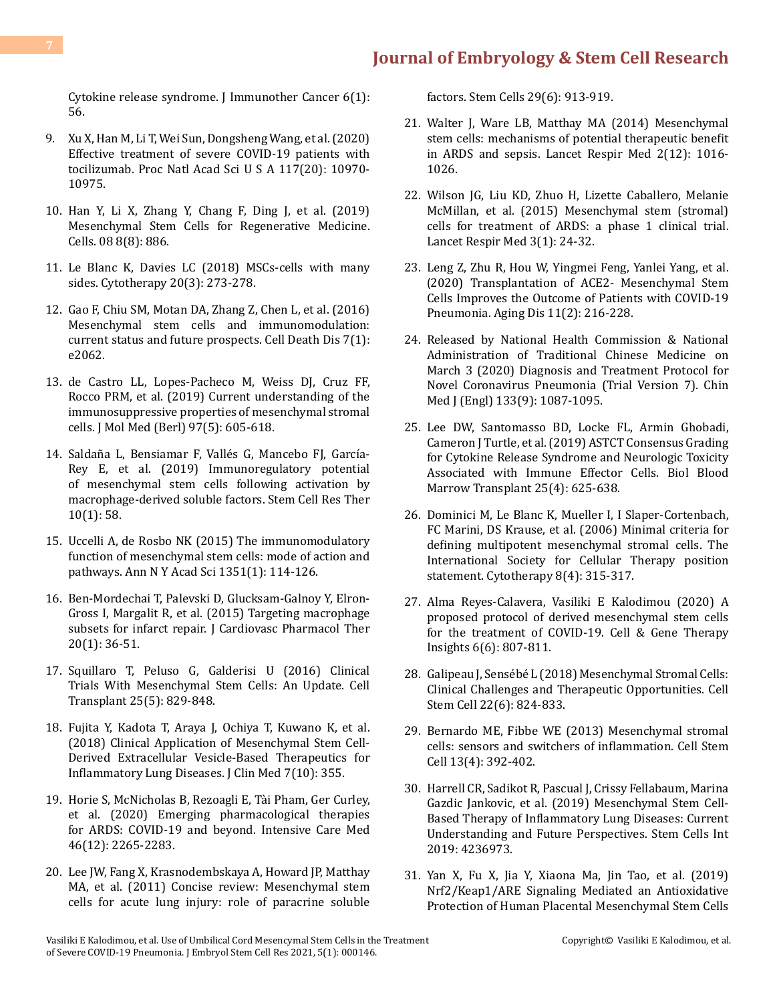[Cytokine release syndrome. J Immunother Cancer 6\(1\):](https://pubmed.ncbi.nlm.nih.gov/29907163/) [56.](https://pubmed.ncbi.nlm.nih.gov/29907163/)

- 9. [Xu X, Han M, Li T, Wei Sun, Dongsheng Wang, et al. \(2020\)](https://pubmed.ncbi.nlm.nih.gov/32350134/) [Effective treatment of severe COVID-19 patients with](https://pubmed.ncbi.nlm.nih.gov/32350134/) [tocilizumab. Proc Natl Acad Sci U S A 117\(20\): 10970-](https://pubmed.ncbi.nlm.nih.gov/32350134/) [10975.](https://pubmed.ncbi.nlm.nih.gov/32350134/)
- 10. [Han Y, Li X, Zhang Y, Chang F, Ding J, et al. \(2019\)](https://pubmed.ncbi.nlm.nih.gov/31412678/) [Mesenchymal Stem Cells for Regenerative Medicine.](https://pubmed.ncbi.nlm.nih.gov/31412678/) [Cells. 08 8\(8\): 886.](https://pubmed.ncbi.nlm.nih.gov/31412678/)
- 11. [Le Blanc K, Davies LC \(2018\) MSCs-cells with many](https://pubmed.ncbi.nlm.nih.gov/29434007/) [sides. Cytotherapy 20\(3\): 273-278.](https://pubmed.ncbi.nlm.nih.gov/29434007/)
- 12. [Gao F, Chiu SM, Motan DA, Zhang Z, Chen L, et al. \(2016\)](https://pubmed.ncbi.nlm.nih.gov/26794657/) [Mesenchymal stem cells and immunomodulation:](https://pubmed.ncbi.nlm.nih.gov/26794657/) [current status and future prospects. Cell Death Dis 7\(1\):](https://pubmed.ncbi.nlm.nih.gov/26794657/) [e2062.](https://pubmed.ncbi.nlm.nih.gov/26794657/)
- 13. [de Castro LL, Lopes-Pacheco M, Weiss DJ, Cruz FF,](https://pubmed.ncbi.nlm.nih.gov/30903229/) [Rocco PRM, et al. \(2019\) Current understanding of the](https://pubmed.ncbi.nlm.nih.gov/30903229/) [immunosuppressive properties of mesenchymal stromal](https://pubmed.ncbi.nlm.nih.gov/30903229/) [cells. J Mol Med \(Berl\) 97\(5\): 605-618.](https://pubmed.ncbi.nlm.nih.gov/30903229/)
- 14. [Saldaña L, Bensiamar F, Vallés G, Mancebo FJ, García-](https://pubmed.ncbi.nlm.nih.gov/30760316/)[Rey E, et al. \(2019\) Immunoregulatory potential](https://pubmed.ncbi.nlm.nih.gov/30760316/) [of mesenchymal stem cells following activation by](https://pubmed.ncbi.nlm.nih.gov/30760316/) [macrophage-derived soluble factors. Stem Cell Res Ther](https://pubmed.ncbi.nlm.nih.gov/30760316/) [10\(1\): 58.](https://pubmed.ncbi.nlm.nih.gov/30760316/)
- 15. [Uccelli A, de Rosbo NK \(2015\) The immunomodulatory](https://nyaspubs.onlinelibrary.wiley.com/doi/abs/10.1111/nyas.12815) [function of mesenchymal stem cells: mode of action and](https://nyaspubs.onlinelibrary.wiley.com/doi/abs/10.1111/nyas.12815) [pathways. Ann N Y Acad Sci 1351\(1\): 114-126.](https://nyaspubs.onlinelibrary.wiley.com/doi/abs/10.1111/nyas.12815)
- 16. [Ben-Mordechai T, Palevski D, Glucksam-Galnoy Y, Elron-](https://pubmed.ncbi.nlm.nih.gov/24938456/)[Gross I, Margalit R, et al. \(2015\) Targeting macrophage](https://pubmed.ncbi.nlm.nih.gov/24938456/) [subsets for infarct repair. J Cardiovasc Pharmacol Ther](https://pubmed.ncbi.nlm.nih.gov/24938456/) [20\(1\): 36-51.](https://pubmed.ncbi.nlm.nih.gov/24938456/)
- 17. [Squillaro T, Peluso G, Galderisi U \(2016\) Clinical](https://pubmed.ncbi.nlm.nih.gov/26423725/) [Trials With Mesenchymal Stem Cells: An Update. Cell](https://pubmed.ncbi.nlm.nih.gov/26423725/) [Transplant 25\(5\): 829-848.](https://pubmed.ncbi.nlm.nih.gov/26423725/)
- 18. [Fujita Y, Kadota T, Araya J, Ochiya T, Kuwano K, et al.](https://pubmed.ncbi.nlm.nih.gov/30322213/) [\(2018\) Clinical Application of Mesenchymal Stem Cell-](https://pubmed.ncbi.nlm.nih.gov/30322213/)[Derived Extracellular Vesicle-Based Therapeutics for](https://pubmed.ncbi.nlm.nih.gov/30322213/) [Inflammatory Lung Diseases. J Clin Med 7\(10\):](https://pubmed.ncbi.nlm.nih.gov/30322213/) 355.
- 19. [Horie S, McNicholas B, Rezoagli E, Tài Pham, Ger Curley,](https://pubmed.ncbi.nlm.nih.gov/32654006/) [et al. \(2020\) Emerging pharmacological therapies](https://pubmed.ncbi.nlm.nih.gov/32654006/) [for ARDS: COVID-19 and beyond. Intensive Care Med](https://pubmed.ncbi.nlm.nih.gov/32654006/) 46(12): [2265-2283.](https://pubmed.ncbi.nlm.nih.gov/32654006/)
- 20. [Lee JW, Fang X, Krasnodembskaya A, Howard JP, Matthay](https://pubmed.ncbi.nlm.nih.gov/21506195/) [MA, et al. \(2011\) Concise review: Mesenchymal stem](https://pubmed.ncbi.nlm.nih.gov/21506195/) [cells for acute lung injury: role of paracrine soluble](https://pubmed.ncbi.nlm.nih.gov/21506195/)

[factors. Stem Cells 29\(6\): 913-919.](https://pubmed.ncbi.nlm.nih.gov/21506195/)

- 21. [Walter J, Ware LB, Matthay MA \(2014\) Mesenchymal](https://pubmed.ncbi.nlm.nih.gov/25465643/)  [stem cells: mechanisms of potential therapeutic benefit](https://pubmed.ncbi.nlm.nih.gov/25465643/) [in ARDS and sepsis. Lancet Respir Med 2\(12\): 1016-](https://pubmed.ncbi.nlm.nih.gov/25465643/) [1026.](https://pubmed.ncbi.nlm.nih.gov/25465643/)
- 22. [Wilson JG, Liu KD, Zhuo H, Lizette Caballero, Melanie](https://pubmed.ncbi.nlm.nih.gov/25529339/)  [McMillan, et al. \(2015\) Mesenchymal stem \(stromal\)](https://pubmed.ncbi.nlm.nih.gov/25529339/)  [cells for treatment of ARDS: a phase 1 clinical trial.](https://pubmed.ncbi.nlm.nih.gov/25529339/)  [Lancet Respir Med 3\(1\): 24-32.](https://pubmed.ncbi.nlm.nih.gov/25529339/)
- 23. [Leng Z, Zhu R, Hou W, Yingmei Feng, Yanlei Yang, et al.](https://pubmed.ncbi.nlm.nih.gov/32257537/) ([2020\) Transplantation of ACE2- Mesenchymal Stem](https://pubmed.ncbi.nlm.nih.gov/32257537/)  [Cells Improves the Outcome of Patients with COVID-19](https://pubmed.ncbi.nlm.nih.gov/32257537/) [Pneumonia. Aging Dis 11\(2\): 216-228.](https://pubmed.ncbi.nlm.nih.gov/32257537/)
- 24. [Released by National Health Commission & National](https://pubmed.ncbi.nlm.nih.gov/32358325/) [Administration of Traditional Chinese Medicine on](https://pubmed.ncbi.nlm.nih.gov/32358325/) [March 3 \(2020\) Diagnosis and Treatment Protocol for](https://pubmed.ncbi.nlm.nih.gov/32358325/) [Novel Coronavirus Pneumonia \(Trial Version 7\). Chin](https://pubmed.ncbi.nlm.nih.gov/32358325/) [Med J \(Engl\) 133\(9\): 1087-1095.](https://pubmed.ncbi.nlm.nih.gov/32358325/)
- 25. [Lee DW, Santomasso BD, Locke FL, Armin Ghobadi,](https://pubmed.ncbi.nlm.nih.gov/30592986/) [Cameron J Turtle, et al. \(2019\) ASTCT Consensus Grading](https://pubmed.ncbi.nlm.nih.gov/30592986/) [for Cytokine Release Syndrome and Neurologic Toxicity](https://pubmed.ncbi.nlm.nih.gov/30592986/)  [Associated with Immune Effector Cells. Biol Blood](https://pubmed.ncbi.nlm.nih.gov/30592986/)  [Marrow Transplant 25\(4\): 625-638.](https://pubmed.ncbi.nlm.nih.gov/30592986/)
- 26. [Dominici M, Le Blanc K, Mueller I, I Slaper-Cortenbach,](https://pubmed.ncbi.nlm.nih.gov/16923606/) [FC Marini, DS Krause, et al. \(2006\) Minimal criteria for](https://pubmed.ncbi.nlm.nih.gov/16923606/)  [defining multipotent mesenchymal stromal cells. The](https://pubmed.ncbi.nlm.nih.gov/16923606/) [International Society for Cellular Therapy position](https://pubmed.ncbi.nlm.nih.gov/16923606/) [statement. Cytotherapy 8\(4\): 315-317.](https://pubmed.ncbi.nlm.nih.gov/16923606/)
- 27. Alma Reyes-Calavera, Vasiliki E Kalodimou (2020) A proposed protocol of derived mesenchymal stem cells for the treatment of COVID-19. Cell & Gene Therapy Insights 6(6): 807-811.
- 28. [Galipeau J, Sensébé L \(2018\) Mesenchymal Stromal Cells:](https://pubmed.ncbi.nlm.nih.gov/29859173/) [Clinical Challenges and Therapeutic Opportunities. Cell](https://pubmed.ncbi.nlm.nih.gov/29859173/)  [Stem Cell 22\(6\): 824-833.](https://pubmed.ncbi.nlm.nih.gov/29859173/)
- 29. [Bernardo ME, Fibbe WE \(2013\) Mesenchymal stromal](https://pubmed.ncbi.nlm.nih.gov/24094322/)  [cells: sensors and switchers of inflammation. Cell Stem](https://pubmed.ncbi.nlm.nih.gov/24094322/) [Cell 13\(4\): 392-402.](https://pubmed.ncbi.nlm.nih.gov/24094322/)
- 30. [Harrell CR, Sadikot R, Pascual J, Crissy Fellabaum, Marina](https://pubmed.ncbi.nlm.nih.gov/31191672/)  [Gazdic Jankovic, et al. \(2019\) Mesenchymal Stem Cell-](https://pubmed.ncbi.nlm.nih.gov/31191672/)[Based Therapy of Inflammatory Lung Diseases: Current](https://pubmed.ncbi.nlm.nih.gov/31191672/)  [Understanding and Future Perspectives. Stem Cells Int](https://pubmed.ncbi.nlm.nih.gov/31191672/)  [2019: 4236973.](https://pubmed.ncbi.nlm.nih.gov/31191672/)
- 31. [Yan X, Fu X, Jia Y, Xiaona Ma, Jin Tao, et al. \(2019\)](https://www.ncbi.nlm.nih.gov/pmc/articles/PMC6537011/) [Nrf2/Keap1/ARE Signaling Mediated an Antioxidative](https://www.ncbi.nlm.nih.gov/pmc/articles/PMC6537011/) [Protection of Human Placental Mesenchymal Stem Cells](https://www.ncbi.nlm.nih.gov/pmc/articles/PMC6537011/)